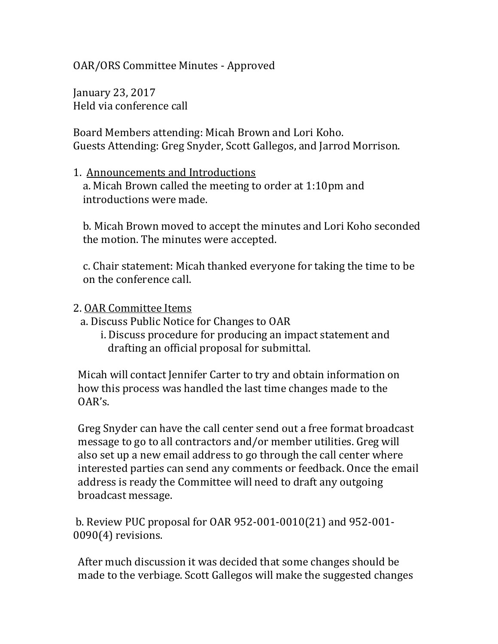OAR/ORS Committee Minutes - Approved

January 23, 2017 Held via conference call

Board Members attending: Micah Brown and Lori Koho. Guests Attending: Greg Snyder, Scott Gallegos, and Jarrod Morrison.

## 1. Announcements and Introductions a. Micah Brown called the meeting to order at 1:10pm and introductions were made.

 b. Micah Brown moved to accept the minutes and Lori Koho seconded the motion. The minutes were accepted.

 c. Chair statement: Micah thanked everyone for taking the time to be on the conference call.

## 2. OAR Committee Items

a. Discuss Public Notice for Changes to OAR

 i. Discuss procedure for producing an impact statement and drafting an official proposal for submittal.

 Micah will contact Jennifer Carter to try and obtain information on how this process was handled the last time changes made to the OAR's.

 Greg Snyder can have the call center send out a free format broadcast message to go to all contractors and/or member utilities. Greg will also set up a new email address to go through the call center where interested parties can send any comments or feedback. Once the email address is ready the Committee will need to draft any outgoing broadcast message.

b. Review PUC proposal for OAR 952-001-0010(21) and 952-001- 0090(4) revisions.

 After much discussion it was decided that some changes should be made to the verbiage. Scott Gallegos will make the suggested changes